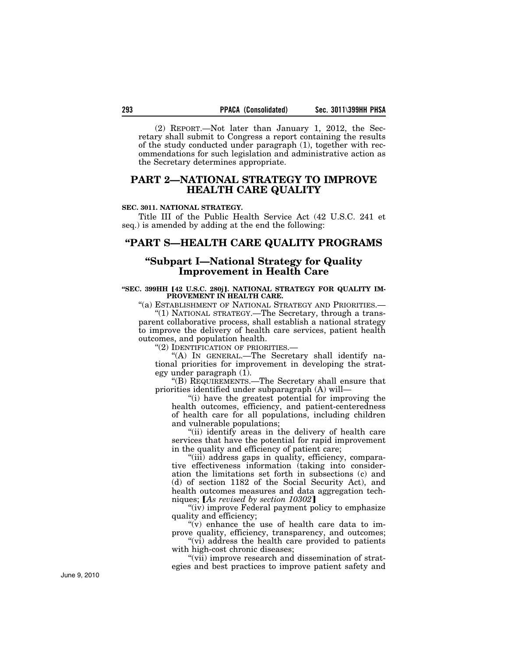(2) REPORT.—Not later than January 1, 2012, the Secretary shall submit to Congress a report containing the results of the study conducted under paragraph (1), together with recommendations for such legislation and administrative action as the Secretary determines appropriate.

## **PART 2—NATIONAL STRATEGY TO IMPROVE HEALTH CARE QUALITY**

#### **SEC. 3011. NATIONAL STRATEGY.**

Title III of the Public Health Service Act (42 U.S.C. 241 et seq.) is amended by adding at the end the following:

### **''PART S—HEALTH CARE QUALITY PROGRAMS**

## **''Subpart I—National Strategy for Quality Improvement in Health Care**

#### "SEC. 399HH [42 U.S.C. 280j]. NATIONAL STRATEGY FOR QUALITY IM-PROVEMENT IN HEALTH CARE.

"(a) ESTABLISHMENT OF NATIONAL STRATEGY AND PRIORITIES.-

''(1) NATIONAL STRATEGY.—The Secretary, through a transparent collaborative process, shall establish a national strategy to improve the delivery of health care services, patient health outcomes, and population health.

"(2) IDENTIFICATION OF PRIORITIES.—

''(A) IN GENERAL.—The Secretary shall identify national priorities for improvement in developing the strategy under paragraph (1).

''(B) REQUIREMENTS.—The Secretary shall ensure that priorities identified under subparagraph (A) will—

''(i) have the greatest potential for improving the health outcomes, efficiency, and patient-centeredness of health care for all populations, including children and vulnerable populations;

"(ii) identify areas in the delivery of health care services that have the potential for rapid improvement in the quality and efficiency of patient care;

''(iii) address gaps in quality, efficiency, comparative effectiveness information (taking into consideration the limitations set forth in subsections (c) and (d) of section 1182 of the Social Security Act), and health outcomes measures and data aggregation techniques; [As revised by section 10302]

"(iv) improve Federal payment policy to emphasize quality and efficiency;

" $(v)$  enhance the use of health care data to improve quality, efficiency, transparency, and outcomes;

"(vi) address the health care provided to patients" with high-cost chronic diseases;

"(vii) improve research and dissemination of strategies and best practices to improve patient safety and

June 9, 2010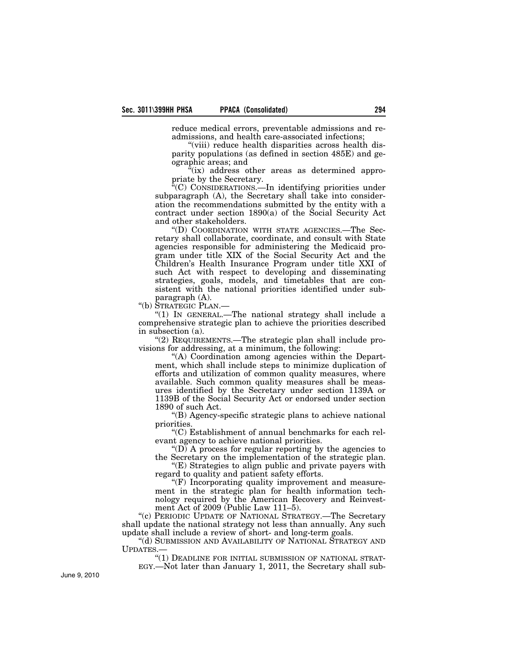reduce medical errors, preventable admissions and readmissions, and health care-associated infections;

"(viii) reduce health disparities across health disparity populations (as defined in section 485E) and geographic areas; and

 $\tilde{f}(ix)$  address other areas as determined appropriate by the Secretary.

 $C^*(C)$  CONSIDERATIONS.—In identifying priorities under subparagraph (A), the Secretary shall take into consideration the recommendations submitted by the entity with a contract under section 1890(a) of the Social Security Act and other stakeholders.

''(D) COORDINATION WITH STATE AGENCIES.—The Secretary shall collaborate, coordinate, and consult with State agencies responsible for administering the Medicaid program under title XIX of the Social Security Act and the Children's Health Insurance Program under title XXI of such Act with respect to developing and disseminating strategies, goals, models, and timetables that are consistent with the national priorities identified under subparagraph (A).

''(b) STRATEGIC PLAN.—

''(1) IN GENERAL.—The national strategy shall include a comprehensive strategic plan to achieve the priorities described in subsection (a).

''(2) REQUIREMENTS.—The strategic plan shall include provisions for addressing, at a minimum, the following:

''(A) Coordination among agencies within the Department, which shall include steps to minimize duplication of efforts and utilization of common quality measures, where available. Such common quality measures shall be measures identified by the Secretary under section 1139A or 1139B of the Social Security Act or endorsed under section 1890 of such Act.

''(B) Agency-specific strategic plans to achieve national priorities.

''(C) Establishment of annual benchmarks for each relevant agency to achieve national priorities.

''(D) A process for regular reporting by the agencies to the Secretary on the implementation of the strategic plan.

"(E) Strategies to align public and private payers with regard to quality and patient safety efforts.

''(F) Incorporating quality improvement and measurement in the strategic plan for health information technology required by the American Recovery and Reinvestment Act of 2009 (Public Law 111–5).

"(c) PERIODIC UPDATE OF NATIONAL STRATEGY.—The Secretary shall update the national strategy not less than annually. Any such update shall include a review of short- and long-term goals.

''(d) SUBMISSION AND AVAILABILITY OF NATIONAL STRATEGY AND UPDATES.—

"(1) DEADLINE FOR INITIAL SUBMISSION OF NATIONAL STRAT-EGY.—Not later than January 1, 2011, the Secretary shall sub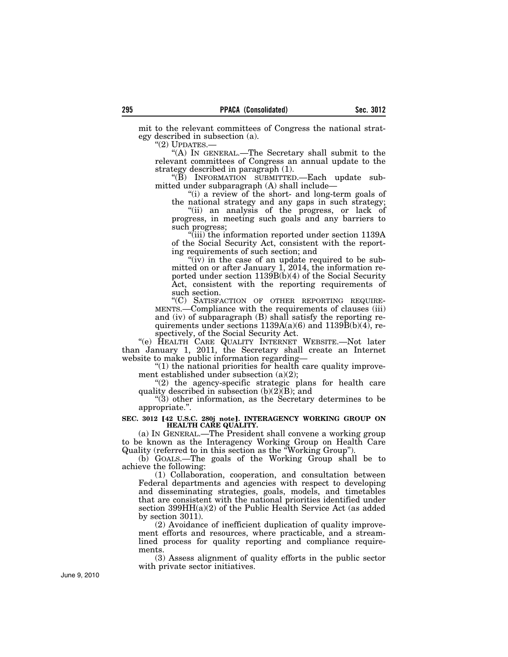mit to the relevant committees of Congress the national strategy described in subsection (a).<br>
"(2) UPDATES.— $\qquad$ 

"(A) IN GENERAL.—The Secretary shall submit to the relevant committees of Congress an annual update to the strategy described in paragraph (1).

''(B) INFORMATION SUBMITTED.—Each update submitted under subparagraph (A) shall include—

"(i) a review of the short- and long-term goals of the national strategy and any gaps in such strategy;

''(ii) an analysis of the progress, or lack of progress, in meeting such goals and any barriers to such progress;

''(iii) the information reported under section 1139A of the Social Security Act, consistent with the reporting requirements of such section; and

"(iv) in the case of an update required to be submitted on or after January 1, 2014, the information reported under section 1139B(b)(4) of the Social Security Act, consistent with the reporting requirements of

such section.<br>"(C) SATISFACTION OF OTHER REPORTING REQUIRE-MENTS.—Compliance with the requirements of clauses (iii) and (iv) of subparagraph (B) shall satisfy the reporting requirements under sections  $1139A(a)(6)$  and  $1139B(b)(4)$ , respectively, of the Social Security Act.

''(e) HEALTH CARE QUALITY INTERNET WEBSITE.—Not later than January 1, 2011, the Secretary shall create an Internet website to make public information regarding-

 $''(1)$  the national priorities for health care quality improvement established under subsection (a)(2);

" $(2)$  the agency-specific strategic plans for health care quality described in subsection (b)(2)(B); and

''(3) other information, as the Secretary determines to be appropriate.''.

# SEC. 3012 <sup>[42 U.S.C. 280j note]. INTERAGENCY WORKING GROUP ON **HEALTH CARE QUALITY.**</sup>

(a) IN GENERAL.—The President shall convene a working group to be known as the Interagency Working Group on Health Care Quality (referred to in this section as the ''Working Group'').

(b) GOALS.—The goals of the Working Group shall be to achieve the following:

(1) Collaboration, cooperation, and consultation between Federal departments and agencies with respect to developing and disseminating strategies, goals, models, and timetables that are consistent with the national priorities identified under section 399HH(a)(2) of the Public Health Service Act (as added by section 3011).

(2) Avoidance of inefficient duplication of quality improvement efforts and resources, where practicable, and a streamlined process for quality reporting and compliance requirements.

(3) Assess alignment of quality efforts in the public sector with private sector initiatives.

June 9, 2010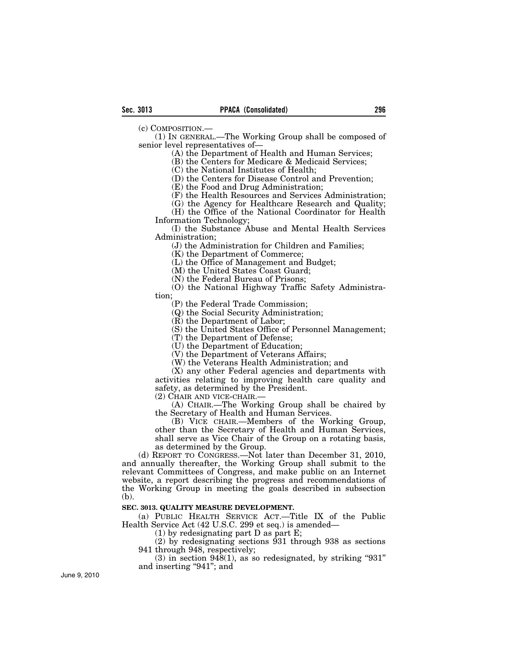(c) COMPOSITION.—

(1) IN GENERAL.—The Working Group shall be composed of senior level representatives of—

(A) the Department of Health and Human Services;

(B) the Centers for Medicare & Medicaid Services;

(C) the National Institutes of Health;

(D) the Centers for Disease Control and Prevention;

(E) the Food and Drug Administration;

(F) the Health Resources and Services Administration;

(G) the Agency for Healthcare Research and Quality;

(H) the Office of the National Coordinator for Health Information Technology;

(I) the Substance Abuse and Mental Health Services Administration;

(J) the Administration for Children and Families;

(K) the Department of Commerce;

(L) the Office of Management and Budget;

(M) the United States Coast Guard;

(N) the Federal Bureau of Prisons;

(O) the National Highway Traffic Safety Administration;

(P) the Federal Trade Commission;

(Q) the Social Security Administration;

(R) the Department of Labor;

(S) the United States Office of Personnel Management;

(T) the Department of Defense;

(U) the Department of Education;

(V) the Department of Veterans Affairs;

(W) the Veterans Health Administration; and

(X) any other Federal agencies and departments with activities relating to improving health care quality and safety, as determined by the President.

(2) CHAIR AND VICE-CHAIR.—

(A) CHAIR.—The Working Group shall be chaired by the Secretary of Health and Human Services.

(B) VICE CHAIR.—Members of the Working Group, other than the Secretary of Health and Human Services, shall serve as Vice Chair of the Group on a rotating basis, as determined by the Group.

(d) REPORT TO CONGRESS.—Not later than December 31, 2010, and annually thereafter, the Working Group shall submit to the relevant Committees of Congress, and make public on an Internet website, a report describing the progress and recommendations of the Working Group in meeting the goals described in subsection (b).

**SEC. 3013. QUALITY MEASURE DEVELOPMENT.** 

(a) PUBLIC HEALTH SERVICE ACT.—Title IX of the Public Health Service Act (42 U.S.C. 299 et seq.) is amended—

(1) by redesignating part D as part E;

(2) by redesignating sections 931 through 938 as sections 941 through 948, respectively;

 $(3)$  in section 948(1), as so redesignated, by striking "931" and inserting ''941''; and

June 9, 2010